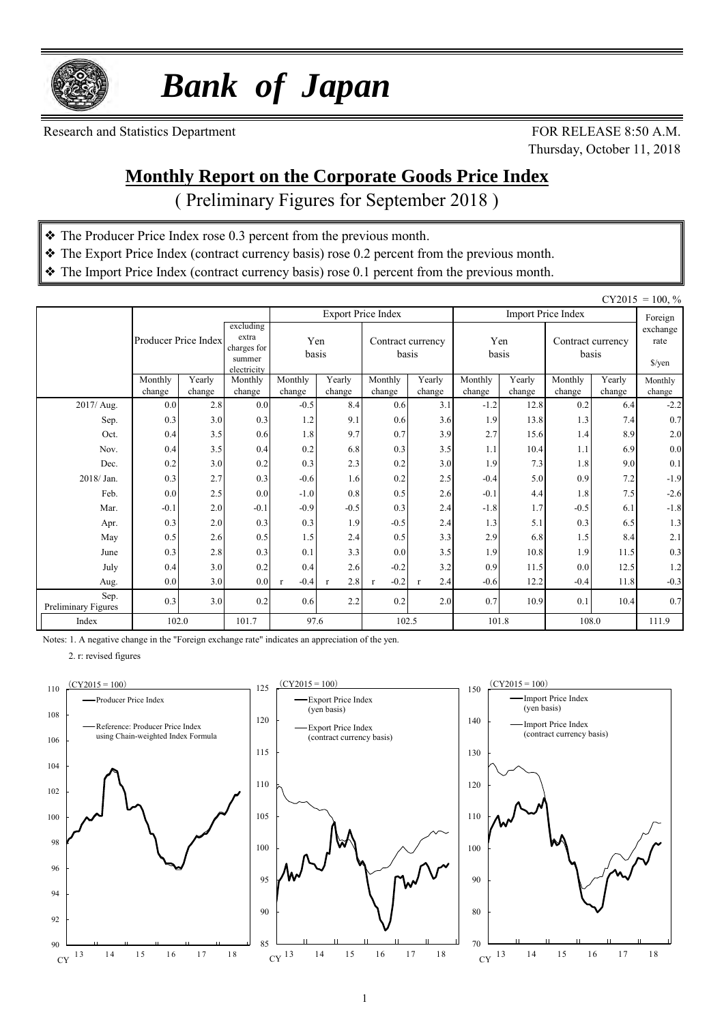

 *Bank of Japan*

Research and Statistics Department FOR RELEASE 8:50 A.M.

Thursday, October 11, 2018

### **Monthly Report on the Corporate Goods Price Index**

( Preliminary Figures for September 2018 )

- ❖ The Producer Price Index rose 0.3 percent from the previous month.
- ❖ The Export Price Index (contract currency basis) rose 0.2 percent from the previous month.
- ❖ The Import Price Index (contract currency basis) rose 0.1 percent from the previous month.

|                             |                      |               |                                                            |                        |                     |                            |                     |                  |                |                            |               | $CY2015 = 100, \%$                       |
|-----------------------------|----------------------|---------------|------------------------------------------------------------|------------------------|---------------------|----------------------------|---------------------|------------------|----------------|----------------------------|---------------|------------------------------------------|
|                             |                      |               |                                                            |                        |                     | <b>Export Price Index</b>  |                     |                  |                | <b>Import Price Index</b>  |               | Foreign                                  |
|                             | Producer Price Index |               | excluding<br>extra<br>charges for<br>summer<br>electricity | Yen<br>basis           |                     | Contract currency<br>basis |                     | Yen<br>basis     |                | Contract currency<br>basis |               | exchange<br>rate<br>$\frac{\sqrt{2}}{2}$ |
|                             | Monthly              | Yearly        | Monthly                                                    | Monthly                | Yearly              | Monthly                    | Yearly              | Monthly          | Yearly         | Monthly                    | Yearly        | Monthly                                  |
| 2017/ Aug.                  | change<br>0.0        | change<br>2.8 | change<br>0.0                                              | change<br>$-0.5$       | change<br>8.4       | change<br>0.6              | change<br>3.1       | change<br>$-1.2$ | change<br>12.8 | change<br>0.2              | change<br>6.4 | change<br>$-2.2$                         |
| Sep.                        | 0.3                  | 3.0           | 0.3                                                        | 1.2                    | 9.1                 | 0.6                        | 3.6                 | 1.9              | 13.8           | 1.3                        | 7.4           | 0.7                                      |
| Oct.                        | 0.4                  | 3.5           | 0.6                                                        | 1.8                    | 9.7                 | 0.7                        | 3.9                 | 2.7              | 15.6           | 1.4                        | 8.9           | 2.0                                      |
| Nov.                        | 0.4                  | 3.5           | 0.4                                                        | 0.2                    | 6.8                 | 0.3                        | 3.5                 | 1.1              | 10.4           | 1.1                        | 6.9           | $0.0\,$                                  |
| Dec.                        | 0.2                  | 3.0           | 0.2                                                        | 0.3                    | 2.3                 | 0.2                        | 3.0                 | 1.9              | 7.3            | 1.8                        | 9.0           | 0.1                                      |
| 2018/Jan.                   | 0.3                  | 2.7           | 0.3                                                        | $-0.6$                 | 1.6                 | 0.2                        | 2.5                 | $-0.4$           | 5.0            | 0.9                        | 7.2           | $-1.9$                                   |
| Feb.                        | 0.0                  | 2.5           | 0.0                                                        | $-1.0$                 | 0.8                 | 0.5                        | 2.6                 | $-0.1$           | 4.4            | 1.8                        | 7.5           | $-2.6$                                   |
| Mar.                        | $-0.1$               | 2.0           | $-0.1$                                                     | $-0.9$                 | $-0.5$              | 0.3                        | 2.4                 | $-1.8$           | 1.7            | $-0.5$                     | 6.1           | $-1.8$                                   |
| Apr.                        | 0.3                  | 2.0           | 0.3                                                        | 0.3                    | 1.9                 | $-0.5$                     | 2.4                 | 1.3              | 5.1            | 0.3                        | 6.5           | 1.3                                      |
| May                         | 0.5                  | 2.6           | 0.5                                                        | 1.5                    | 2.4                 | 0.5                        | 3.3                 | 2.9              | 6.8            | 1.5                        | 8.4           | $2.1$                                    |
| June                        | 0.3                  | 2.8           | 0.3                                                        | 0.1                    | 3.3                 | 0.0                        | 3.5                 | 1.9              | 10.8           | 1.9                        | 11.5          | 0.3                                      |
| July                        | 0.4                  | 3.0           | 0.2                                                        | 0.4                    | 2.6                 | $-0.2$                     | 3.2                 | 0.9              | 11.5           | 0.0                        | 12.5          | 1.2                                      |
| Aug.                        | 0.0                  | 3.0           | 0.0                                                        | $-0.4$<br>$\mathbf{r}$ | 2.8<br>$\mathbf{r}$ | $-0.2$<br>$\mathbf{r}$     | 2.4<br>$\mathbf{r}$ | $-0.6$           | 12.2           | $-0.4$                     | 11.8          | $-0.3$                                   |
| Sep.<br>Preliminary Figures | 0.3                  | 3.0           | 0.2                                                        | 0.6                    | 2.2                 | 0.2                        | 2.0                 | 0.7              | 10.9           | 0.1                        | 10.4          | 0.7                                      |
| Index                       | 102.0                |               | 101.7                                                      | 97.6                   |                     | 102.5                      |                     | 101.8            |                | 108.0                      |               | 111.9                                    |

Notes: 1. A negative change in the "Foreign exchange rate" indicates an appreciation of the yen.

2. r: revised figures





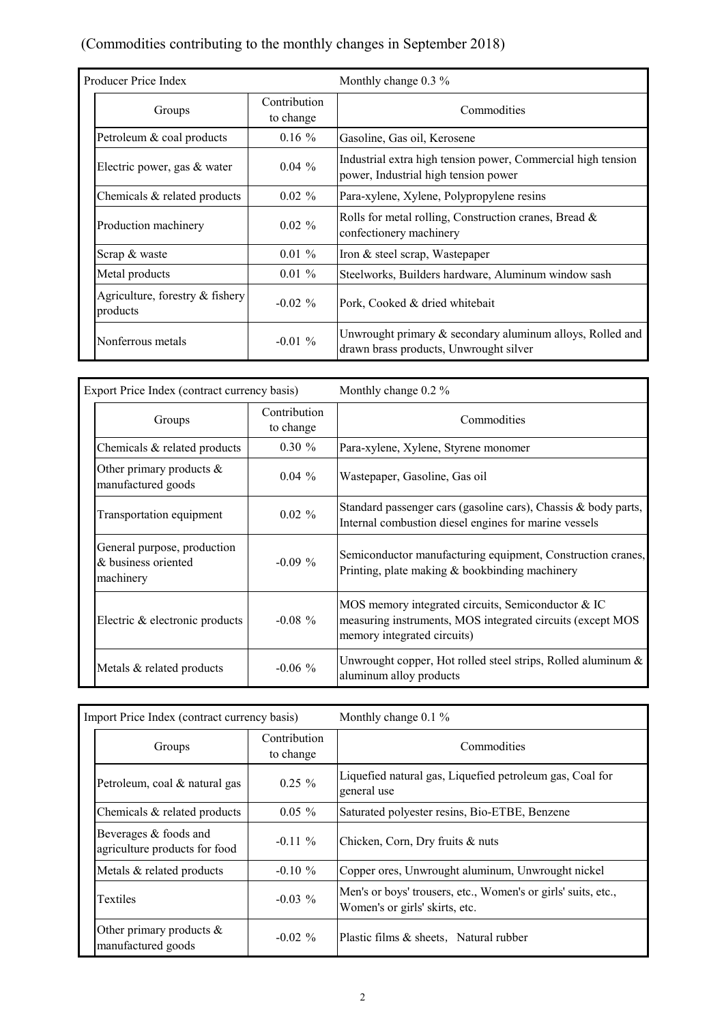#### (Commodities contributing to the monthly changes in September 2018)

| Producer Price Index                        |                                                        | Monthly change $0.3\%$                                                                                |  |  |  |  |
|---------------------------------------------|--------------------------------------------------------|-------------------------------------------------------------------------------------------------------|--|--|--|--|
| Groups                                      | Contribution<br>to change                              | Commodities                                                                                           |  |  |  |  |
| Petroleum & coal products                   | $0.16\%$                                               | Gasoline, Gas oil, Kerosene                                                                           |  |  |  |  |
| Electric power, gas & water                 | $0.04\%$                                               | Industrial extra high tension power, Commercial high tension<br>power, Industrial high tension power  |  |  |  |  |
| Chemicals & related products                | $0.02 \%$<br>Para-xylene, Xylene, Polypropylene resins |                                                                                                       |  |  |  |  |
| Production machinery                        | $0.02 \%$                                              | Rolls for metal rolling, Construction cranes, Bread &<br>confectionery machinery                      |  |  |  |  |
| Scrap & waste                               | $0.01 \%$                                              | Iron & steel scrap, Wastepaper                                                                        |  |  |  |  |
| Metal products                              | $0.01\%$                                               | Steelworks, Builders hardware, Aluminum window sash                                                   |  |  |  |  |
| Agriculture, forestry & fishery<br>products | $-0.02\%$                                              | Pork, Cooked & dried whitebait                                                                        |  |  |  |  |
| Nonferrous metals                           | $-0.01\%$                                              | Unwrought primary $&$ secondary aluminum alloys, Rolled and<br>drawn brass products, Unwrought silver |  |  |  |  |

| Export Price Index (contract currency basis)                    |                           | Monthly change 0.2 %                                                                                                                            |  |  |  |  |  |
|-----------------------------------------------------------------|---------------------------|-------------------------------------------------------------------------------------------------------------------------------------------------|--|--|--|--|--|
| Groups                                                          | Contribution<br>to change | Commodities                                                                                                                                     |  |  |  |  |  |
| Chemicals & related products                                    | $0.30 \%$                 | Para-xylene, Xylene, Styrene monomer                                                                                                            |  |  |  |  |  |
| Other primary products $\&$<br>manufactured goods               | $0.04\%$                  | Wastepaper, Gasoline, Gas oil                                                                                                                   |  |  |  |  |  |
| Transportation equipment                                        | $0.02 \%$                 | Standard passenger cars (gasoline cars), Chassis & body parts,<br>Internal combustion diesel engines for marine vessels                         |  |  |  |  |  |
| General purpose, production<br>& business oriented<br>machinery | $-0.09\%$                 | Semiconductor manufacturing equipment, Construction cranes,<br>Printing, plate making & bookbinding machinery                                   |  |  |  |  |  |
| Electric & electronic products                                  | $-0.08 \%$                | MOS memory integrated circuits, Semiconductor & IC<br>measuring instruments, MOS integrated circuits (except MOS<br>memory integrated circuits) |  |  |  |  |  |
| Metals & related products                                       | $-0.06\%$                 | Unwrought copper, Hot rolled steel strips, Rolled aluminum $\&$<br>aluminum alloy products                                                      |  |  |  |  |  |

| Import Price Index (contract currency basis)           |                           | Monthly change $0.1\%$                                                                          |  |  |  |  |  |
|--------------------------------------------------------|---------------------------|-------------------------------------------------------------------------------------------------|--|--|--|--|--|
| Groups                                                 | Contribution<br>to change | Commodities                                                                                     |  |  |  |  |  |
| Petroleum, coal & natural gas                          | $0.25 \%$                 | Liquefied natural gas, Liquefied petroleum gas, Coal for<br>general use                         |  |  |  |  |  |
| Chemicals & related products                           | $0.05 \%$                 | Saturated polyester resins, Bio-ETBE, Benzene                                                   |  |  |  |  |  |
| Beverages & foods and<br>agriculture products for food | $-0.11\%$                 | Chicken, Corn, Dry fruits & nuts                                                                |  |  |  |  |  |
| Metals & related products                              | $-0.10 \%$                | Copper ores, Unwrought aluminum, Unwrought nickel                                               |  |  |  |  |  |
| <b>Textiles</b>                                        | $-0.03\%$                 | Men's or boys' trousers, etc., Women's or girls' suits, etc.,<br>Women's or girls' skirts, etc. |  |  |  |  |  |
| Other primary products $\&$<br>manufactured goods      | $-0.02\%$                 | Plastic films & sheets. Natural rubber                                                          |  |  |  |  |  |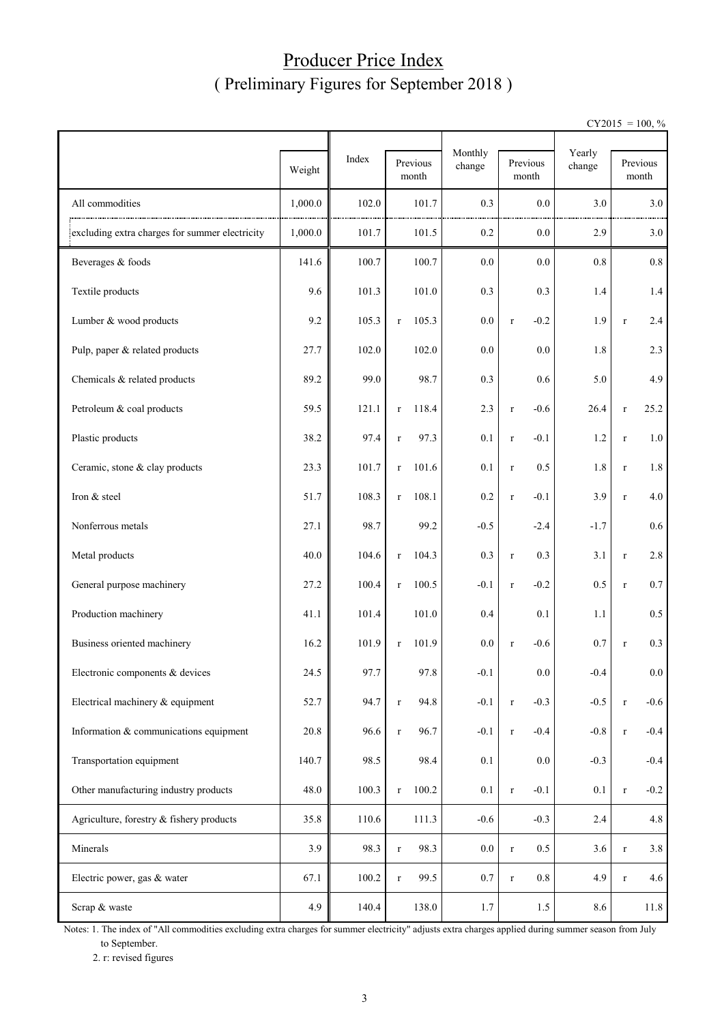## Producer Price Index ( Preliminary Figures for September 2018 )

 $CY2015 = 100, \%$ 

|                                                |         |       |                      | Monthly |                       | Yearly  |             |                   |
|------------------------------------------------|---------|-------|----------------------|---------|-----------------------|---------|-------------|-------------------|
|                                                | Weight  | Index | Previous<br>month    | change  | Previous<br>month     | change  |             | Previous<br>month |
| All commodities                                | 1,000.0 | 102.0 | 101.7                | 0.3     | 0.0                   | 3.0     |             | 3.0               |
| excluding extra charges for summer electricity | 1,000.0 | 101.7 | 101.5                | 0.2     | 0.0                   | 2.9     |             | 3.0               |
| Beverages & foods                              | 141.6   | 100.7 | 100.7                | 0.0     | 0.0                   | $0.8\,$ |             | 0.8               |
| Textile products                               | 9.6     | 101.3 | 101.0                | 0.3     | 0.3                   | 1.4     |             | 1.4               |
| Lumber & wood products                         | 9.2     | 105.3 | 105.3<br>$\mathbf r$ | 0.0     | $-0.2$<br>$\mathbf r$ | 1.9     | $\mathbf r$ | 2.4               |
| Pulp, paper & related products                 | 27.7    | 102.0 | 102.0                | 0.0     | 0.0                   | 1.8     |             | 2.3               |
| Chemicals & related products                   | 89.2    | 99.0  | 98.7                 | 0.3     | 0.6                   | 5.0     |             | 4.9               |
| Petroleum & coal products                      | 59.5    | 121.1 | 118.4<br>$\mathbf r$ | 2.3     | $-0.6$<br>$\mathbf r$ | 26.4    | $\mathbf r$ | 25.2              |
| Plastic products                               | 38.2    | 97.4  | 97.3<br>$\mathbf r$  | 0.1     | $-0.1$<br>$\mathbf r$ | 1.2     | $\mathbf r$ | $1.0\,$           |
| Ceramic, stone & clay products                 | 23.3    | 101.7 | 101.6<br>$\mathbf r$ | 0.1     | 0.5<br>$\mathbf r$    | 1.8     | $\mathbf r$ | 1.8               |
| Iron & steel                                   | 51.7    | 108.3 | 108.1<br>$\Gamma$    | 0.2     | $-0.1$<br>$\mathbf r$ | 3.9     | $\mathbf r$ | 4.0               |
| Nonferrous metals                              | 27.1    | 98.7  | 99.2                 | $-0.5$  | $-2.4$                | $-1.7$  |             | 0.6               |
| Metal products                                 | 40.0    | 104.6 | 104.3<br>$\Gamma$    | 0.3     | 0.3<br>$\mathbf r$    | 3.1     | $\mathbf r$ | 2.8               |
| General purpose machinery                      | 27.2    | 100.4 | 100.5<br>$\mathbf r$ | $-0.1$  | $-0.2$<br>$\mathbf r$ | 0.5     | $\mathbf r$ | $0.7\,$           |
| Production machinery                           | 41.1    | 101.4 | 101.0                | 0.4     | 0.1                   | 1.1     |             | 0.5               |
| Business oriented machinery                    | 16.2    | 101.9 | 101.9<br>$\mathbf r$ | 0.0     | $-0.6$<br>$\mathbf r$ | 0.7     | $\mathbf r$ | 0.3               |
| Electronic components & devices                | 24.5    | 97.7  | 97.8                 | $-0.1$  | 0.0                   | $-0.4$  |             | $0.0\,$           |
| Electrical machinery & equipment               | 52.7    | 94.7  | 94.8<br>$\mathbf r$  | $-0.1$  | $-0.3$<br>$\mathbf r$ | $-0.5$  | $\mathbf r$ | $-0.6$            |
| Information & communications equipment         | 20.8    | 96.6  | 96.7<br>$\mathbf r$  | $-0.1$  | $-0.4$<br>$\mathbf r$ | $-0.8$  | $\mathbf r$ | $-0.4$            |
| Transportation equipment                       | 140.7   | 98.5  | 98.4                 | 0.1     | 0.0                   | $-0.3$  |             | $-0.4$            |
| Other manufacturing industry products          | 48.0    | 100.3 | 100.2<br>$\mathbf r$ | 0.1     | $-0.1$<br>$\mathbf r$ | 0.1     | $\mathbf r$ | $-0.2$            |
| Agriculture, forestry & fishery products       | 35.8    | 110.6 | 111.3                | $-0.6$  | $-0.3$                | 2.4     |             | 4.8               |
| Minerals                                       | 3.9     | 98.3  | 98.3<br>$\mathbf r$  | $0.0\,$ | 0.5<br>$\mathbf r$    | 3.6     | $\mathbf r$ | 3.8               |
| Electric power, gas & water                    | 67.1    | 100.2 | 99.5<br>$\mathbf r$  | $0.7\,$ | 0.8<br>$\mathbf r$    | 4.9     | $\mathbf r$ | 4.6               |
| Scrap & waste                                  | 4.9     | 140.4 | 138.0                | 1.7     | 1.5                   | 8.6     |             | 11.8              |

Notes: 1. The index of "All commodities excluding extra charges for summer electricity" adjusts extra charges applied during summer season from July to September.

2. r: revised figures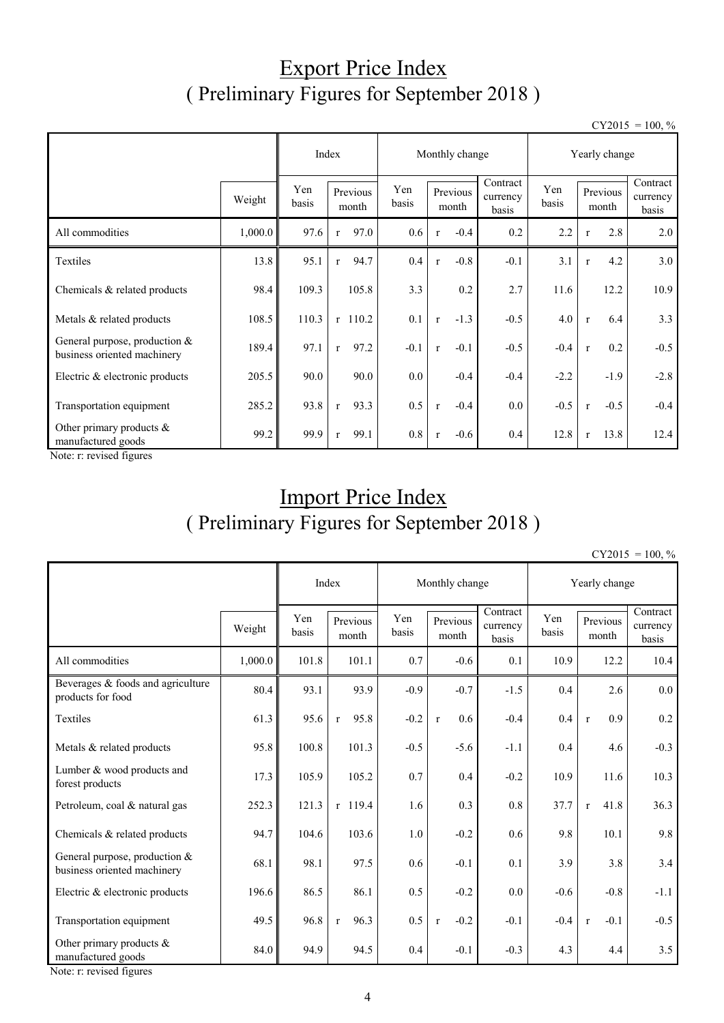# Export Price Index ( Preliminary Figures for September 2018 )

 $CY2015 = 100, \%$ 

|                                                                |         | Index        |                      | Monthly change |                        | Yearly change                 |              |                        |                               |
|----------------------------------------------------------------|---------|--------------|----------------------|----------------|------------------------|-------------------------------|--------------|------------------------|-------------------------------|
|                                                                | Weight  | Yen<br>basis | Previous<br>month    | Yen<br>basis   | Previous<br>month      | Contract<br>currency<br>basis | Yen<br>basis | Previous<br>month      | Contract<br>currency<br>basis |
| All commodities                                                | 1,000.0 | 97.6         | 97.0<br>$\mathbf{r}$ | 0.6            | $-0.4$<br>$\mathbf{r}$ | 0.2                           | 2.2          | 2.8<br>$\mathbf{r}$    | 2.0                           |
| Textiles                                                       | 13.8    | 95.1         | 94.7<br>$\mathbf{r}$ | 0.4            | $-0.8$<br>$\mathbf{r}$ | $-0.1$                        | 3.1          | 4.2<br>$\mathbf{r}$    | 3.0                           |
| Chemicals & related products                                   | 98.4    | 109.3        | 105.8                | 3.3            | 0.2                    | 2.7                           | 11.6         | 12.2                   | 10.9                          |
| Metals & related products                                      | 108.5   | 110.3        | $r$ 110.2            | 0.1            | $-1.3$<br>$\mathbf{r}$ | $-0.5$                        | 4.0          | 6.4<br>$\mathbf{r}$    | 3.3                           |
| General purpose, production $&$<br>business oriented machinery | 189.4   | 97.1         | 97.2<br>$\mathbf{r}$ | $-0.1$         | $-0.1$<br>$\mathbf{r}$ | $-0.5$                        | $-0.4$       | 0.2<br>$\mathbf{r}$    | $-0.5$                        |
| Electric & electronic products                                 | 205.5   | 90.0         | 90.0                 | 0.0            | $-0.4$                 | $-0.4$                        | $-2.2$       | $-1.9$                 | $-2.8$                        |
| Transportation equipment                                       | 285.2   | 93.8         | 93.3<br>$\mathbf{r}$ | 0.5            | $-0.4$<br>$\mathbf{r}$ | 0.0                           | $-0.5$       | $-0.5$<br>$\mathbf{r}$ | $-0.4$                        |
| Other primary products $\&$<br>manufactured goods              | 99.2    | 99.9         | 99.1<br>$\mathbf{r}$ | 0.8            | $-0.6$<br>$\mathbf{r}$ | 0.4                           | 12.8         | 13.8<br>$\mathbf{r}$   | 12.4                          |

Note: r: revised figures

# Import Price Index ( Preliminary Figures for September 2018 )

 $CY2015 = 100, \%$ 

|                                                                |         |              | Index                | Monthly change |                        |                               | Yearly change |                        |                               |  |
|----------------------------------------------------------------|---------|--------------|----------------------|----------------|------------------------|-------------------------------|---------------|------------------------|-------------------------------|--|
|                                                                | Weight  | Yen<br>basis | Previous<br>month    | Yen<br>basis   | Previous<br>month      | Contract<br>currency<br>basis | Yen<br>basis  | Previous<br>month      | Contract<br>currency<br>basis |  |
| All commodities                                                | 1,000.0 | 101.8        | 101.1                | 0.7            | $-0.6$                 | 0.1                           | 10.9          | 12.2                   | 10.4                          |  |
| Beverages $&$ foods and agriculture<br>products for food       | 80.4    | 93.1         | 93.9                 | $-0.9$         | $-0.7$                 | $-1.5$                        | 0.4           | 2.6                    | $0.0\,$                       |  |
| Textiles                                                       | 61.3    | 95.6         | 95.8<br>$\mathbf{r}$ | $-0.2$         | 0.6<br>$\mathbf{r}$    | $-0.4$                        | 0.4           | 0.9<br>$\mathbf r$     | 0.2                           |  |
| Metals & related products                                      | 95.8    | 100.8        | 101.3                | $-0.5$         | $-5.6$                 | $-1.1$                        | 0.4           | 4.6                    | $-0.3$                        |  |
| Lumber & wood products and<br>forest products                  | 17.3    | 105.9        | 105.2                | 0.7            | 0.4                    | $-0.2$                        | 10.9          | 11.6                   | 10.3                          |  |
| Petroleum, coal & natural gas                                  | 252.3   | 121.3        | r 119.4              | 1.6            | 0.3                    | 0.8                           | 37.7          | 41.8<br>$\mathbf{r}$   | 36.3                          |  |
| Chemicals & related products                                   | 94.7    | 104.6        | 103.6                | 1.0            | $-0.2$                 | 0.6                           | 9.8           | 10.1                   | 9.8                           |  |
| General purpose, production $&$<br>business oriented machinery | 68.1    | 98.1         | 97.5                 | 0.6            | $-0.1$                 | 0.1                           | 3.9           | 3.8                    | 3.4                           |  |
| Electric & electronic products                                 | 196.6   | 86.5         | 86.1                 | 0.5            | $-0.2$                 | 0.0                           | $-0.6$        | $-0.8$                 | $-1.1$                        |  |
| Transportation equipment                                       | 49.5    | 96.8         | 96.3<br>$\mathbf{r}$ | 0.5            | $-0.2$<br>$\mathbf{r}$ | $-0.1$                        | $-0.4$        | $-0.1$<br>$\mathbf{r}$ | $-0.5$                        |  |
| Other primary products &<br>manufactured goods                 | 84.0    | 94.9         | 94.5                 | 0.4            | $-0.1$                 | $-0.3$                        | 4.3           | 4.4                    | 3.5                           |  |

Note: r: revised figures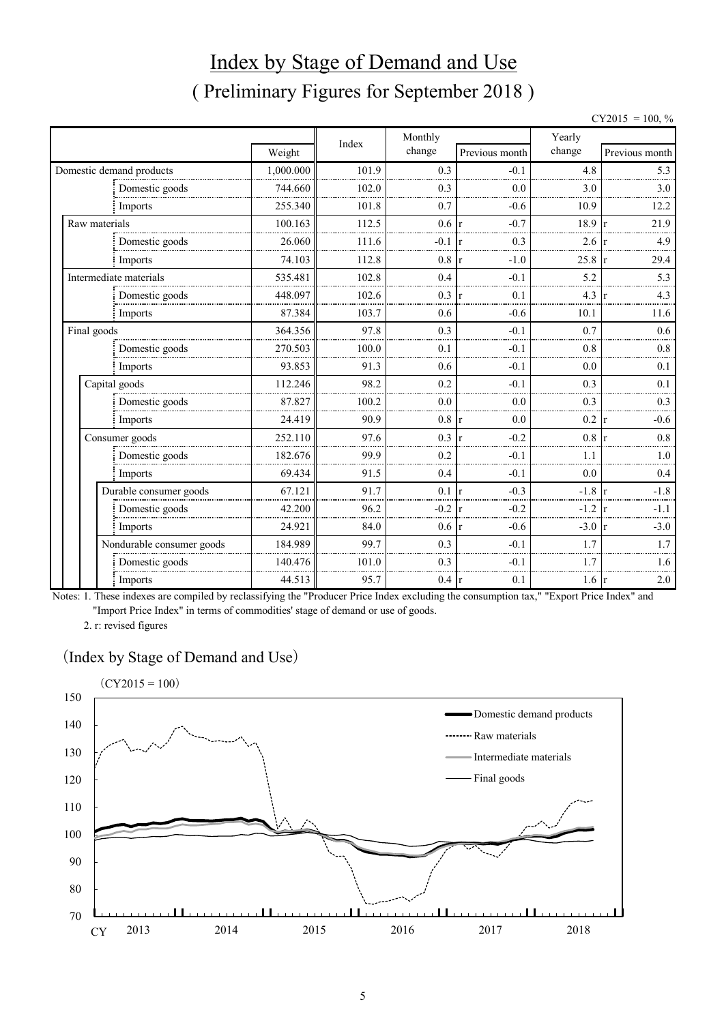# Index by Stage of Demand and Use ( Preliminary Figures for September 2018 )

|             |                           |           |       |         |                |                  | $CY2015 = 100, \%$     |
|-------------|---------------------------|-----------|-------|---------|----------------|------------------|------------------------|
|             |                           |           | Index | Monthly |                | Yearly           |                        |
|             |                           | Weight    |       | change  | Previous month | change           | Previous month         |
|             | Domestic demand products  | 1,000.000 | 101.9 | 0.3     | $-0.1$         | 4.8              | 5.3                    |
|             | Domestic goods            | 744.660   | 102.0 | 0.3     | 0.0            | 3.0              | 3.0                    |
|             | Imports                   | 255.340   | 101.8 | 0.7     | $-0.6$         | 10.9             | 12.2                   |
|             | Raw materials             | 100.163   | 112.5 | 0.6     | $-0.7$         | 18.9             | 21.9<br>$\mathbf{r}$   |
|             | Domestic goods            | 26.060    | 111.6 | $-0.1$  | 0.3            | 2.6              | 4.9                    |
|             | Imports                   | 74.103    | 112.8 | 0.8     | $-1.0$         | $25.8 \text{ r}$ | 29.4                   |
|             | Intermediate materials    | 535.481   | 102.8 | 0.4     | $-0.1$         | 5.2              | 5.3                    |
|             | Domestic goods            | 448.097   | 102.6 | 0.3     | 0.1            | 4.3              | 4.3                    |
|             | Imports                   | 87.384    | 103.7 | 0.6     | $-0.6$         | 10.1             | 11.6                   |
| Final goods |                           | 364.356   | 97.8  | 0.3     | $-0.1$         | 0.7              | 0.6                    |
|             | Domestic goods            | 270.503   | 100.0 | 0.1     | $-0.1$         | 0.8              | 0.8                    |
|             | Imports                   | 93.853    | 91.3  | 0.6     | $-0.1$         | 0.0              | 0.1                    |
|             | Capital goods             | 112.246   | 98.2  | 0.2     | $-0.1$         | 0.3              | 0.1                    |
|             | Domestic goods            | 87.827    | 100.2 | 0.0     | 0.0            | 0.3              | 0.3                    |
|             | Imports                   | 24.419    | 90.9  | 0.8     | 0.0            | 0.2              | $-0.6$<br>1r           |
|             | Consumer goods            | 252.110   | 97.6  | 0.3     | $-0.2$         | 0.8              | 0.8<br>$\mathbf{r}$    |
|             | Domestic goods            | 182.676   | 99.9  | 0.2     | $-0.1$         | 1.1              | 1.0                    |
|             | Imports                   | 69.434    | 91.5  | 0.4     | $-0.1$         | 0.0              | 0.4                    |
|             | Durable consumer goods    | 67.121    | 91.7  | 0.1     | $-0.3$         | $-1.8$           | $-1.8$<br>$\mathbf{r}$ |
|             | Domestic goods            | 42.200    | 96.2  | $-0.2$  | $-0.2$         | $-1.2 \text{ r}$ | $-1.1$                 |
|             | Imports                   | 24.921    | 84.0  | 0.6     | $-0.6$         | $-3.0 \text{ r}$ | $-3.0$                 |
|             | Nondurable consumer goods | 184.989   | 99.7  | 0.3     | $-0.1$         | 1.7              | 1.7                    |
|             | Domestic goods            | 140.476   | 101.0 | 0.3     | $-0.1$         | 17               | 1.6                    |
|             | Imports                   | 44.513    | 95.7  | 0.4     | 0.1<br>r       | $1.6 \text{ r}$  | 2.0                    |

Notes: 1. These indexes are compiled by reclassifying the "Producer Price Index excluding the consumption tax," "Export Price Index" and "Import Price Index" in terms of commodities' stage of demand or use of goods.

2. r: revised figures

#### (Index by Stage of Demand and Use)

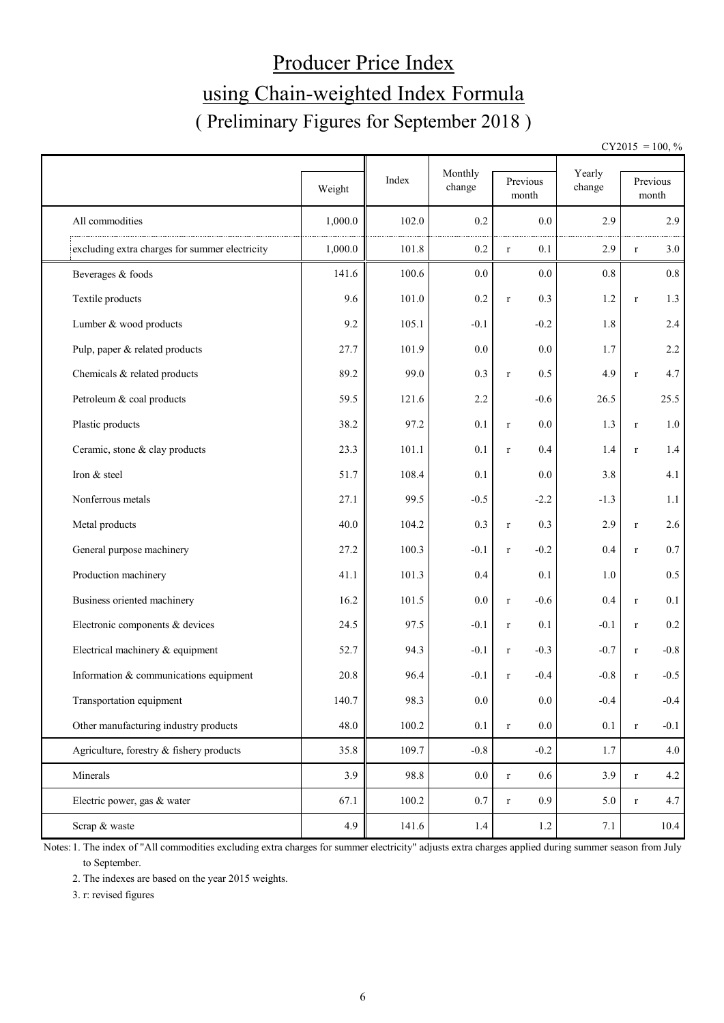# Producer Price Index using Chain-weighted Index Formula ( Preliminary Figures for September 2018 )

 $CY2015 = 100, \%$ 

|                                                |         | Index | Monthly | Previous               | Yearly |              | Previous |
|------------------------------------------------|---------|-------|---------|------------------------|--------|--------------|----------|
|                                                | Weight  |       | change  | month                  | change |              | month    |
| All commodities                                | 1,000.0 | 102.0 | 0.2     | 0.0                    | 2.9    |              | 2.9      |
| excluding extra charges for summer electricity | 1,000.0 | 101.8 | $0.2\,$ | 0.1<br>$\mathbf r$     | 2.9    | $\mathbf r$  | 3.0      |
| Beverages & foods                              | 141.6   | 100.6 | 0.0     | 0.0                    | 0.8    |              | $0.8\,$  |
| Textile products                               | 9.6     | 101.0 | $0.2\,$ | 0.3<br>$\mathbf r$     | 1.2    | $\mathbf r$  | 1.3      |
| Lumber & wood products                         | 9.2     | 105.1 | $-0.1$  | $-0.2$                 | 1.8    |              | 2.4      |
| Pulp, paper & related products                 | 27.7    | 101.9 | 0.0     | 0.0                    | 1.7    |              | 2.2      |
| Chemicals & related products                   | 89.2    | 99.0  | 0.3     | 0.5<br>$\mathbf r$     | 4.9    | $\mathbf r$  | 4.7      |
| Petroleum & coal products                      | 59.5    | 121.6 | 2.2     | $-0.6$                 | 26.5   |              | 25.5     |
| Plastic products                               | 38.2    | 97.2  | 0.1     | 0.0<br>$\mathbf r$     | 1.3    | $\mathbf r$  | 1.0      |
| Ceramic, stone & clay products                 | 23.3    | 101.1 | 0.1     | 0.4<br>$\mathbf r$     | 1.4    | $r_{\rm}$    | 1.4      |
| Iron & steel                                   | 51.7    | 108.4 | 0.1     | 0.0                    | 3.8    |              | 4.1      |
| Nonferrous metals                              | 27.1    | 99.5  | $-0.5$  | $-2.2$                 | $-1.3$ |              | 1.1      |
| Metal products                                 | 40.0    | 104.2 | 0.3     | 0.3<br>$\mathbf r$     | 2.9    | $\mathbf r$  | 2.6      |
| General purpose machinery                      | 27.2    | 100.3 | $-0.1$  | $-0.2$<br>$\mathbf r$  | 0.4    | $\mathbf{r}$ | $0.7\,$  |
| Production machinery                           | 41.1    | 101.3 | 0.4     | 0.1                    | 1.0    |              | 0.5      |
| Business oriented machinery                    | 16.2    | 101.5 | 0.0     | $-0.6$<br>$\mathbf r$  | 0.4    | $\mathbf r$  | 0.1      |
| Electronic components & devices                | 24.5    | 97.5  | $-0.1$  | 0.1<br>$\mathbf r$     | $-0.1$ | $\mathbf r$  | 0.2      |
| Electrical machinery & equipment               | 52.7    | 94.3  | $-0.1$  | $-0.3$<br>$\mathbf r$  | $-0.7$ | $\mathbf r$  | $-0.8$   |
| Information & communications equipment         | 20.8    | 96.4  | $-0.1$  | $-0.4$<br>$\mathbf r$  | $-0.8$ | $\mathbf{r}$ | $-0.5$   |
| Transportation equipment                       | 140.7   | 98.3  | $0.0\,$ | $0.0\,$                | $-0.4$ |              | $-0.4$   |
| Other manufacturing industry products          | 48.0    | 100.2 | $0.1\,$ | $0.0\,$<br>$\mathbf r$ | 0.1    | $\mathbf r$  | $-0.1$   |
| Agriculture, forestry & fishery products       | 35.8    | 109.7 | $-0.8$  | $-0.2$                 | 1.7    |              | 4.0      |
| Minerals                                       | 3.9     | 98.8  | $0.0\,$ | 0.6<br>$\mathbf r$     | 3.9    | $\mathbf r$  | 4.2      |
| Electric power, gas & water                    | 67.1    | 100.2 | 0.7     | 0.9<br>$\mathbf r$     | 5.0    | $\mathbf r$  | 4.7      |
| Scrap & waste                                  | 4.9     | 141.6 | 1.4     | 1.2                    | 7.1    |              | $10.4$   |

Notes: 1. The index of "All commodities excluding extra charges for summer electricity" adjusts extra charges applied during summer season from July to September.

2. The indexes are based on the year 2015 weights.

3. r: revised figures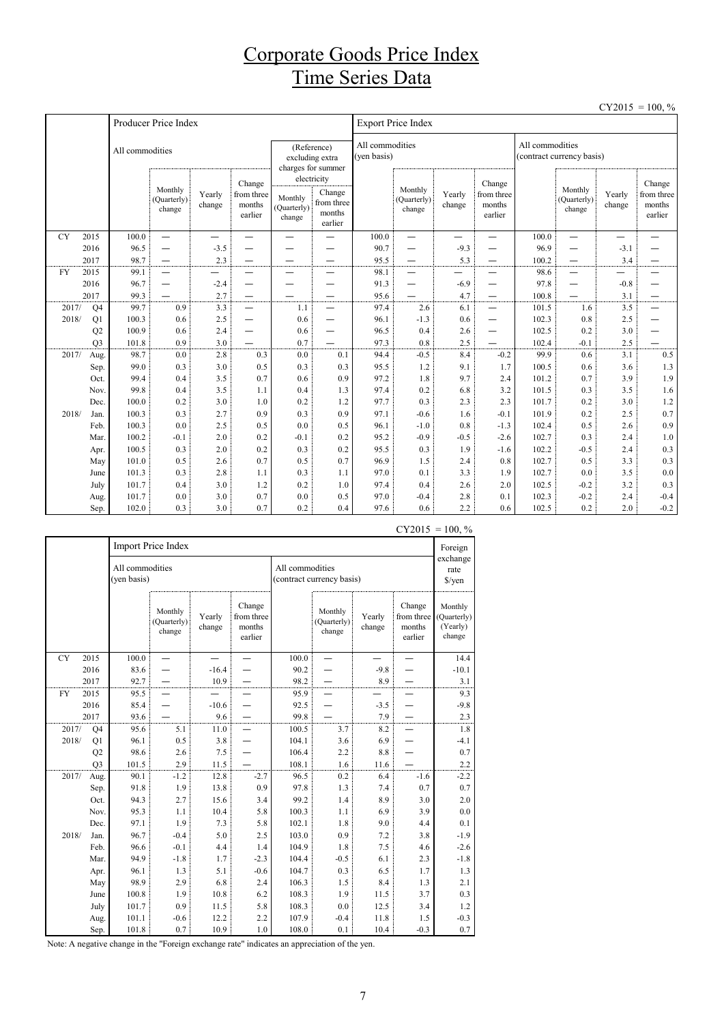## Corporate Goods Price Index Time Series Data

 $CY2015 = 100, \%$ 

|           |                |                 |                                  |                          |                                           |                                  |                                                                     |             |                                  |                          |                                           |       |                                              |                          | 100, 70                                   |  |
|-----------|----------------|-----------------|----------------------------------|--------------------------|-------------------------------------------|----------------------------------|---------------------------------------------------------------------|-------------|----------------------------------|--------------------------|-------------------------------------------|-------|----------------------------------------------|--------------------------|-------------------------------------------|--|
|           |                |                 | Producer Price Index             |                          |                                           |                                  |                                                                     |             | <b>Export Price Index</b>        |                          |                                           |       |                                              |                          |                                           |  |
|           |                | All commodities |                                  |                          |                                           |                                  | (Reference)<br>excluding extra<br>charges for summer<br>electricity | (ven basis) | All commodities                  |                          |                                           |       | All commodities<br>(contract currency basis) |                          |                                           |  |
|           |                |                 | Monthly<br>(Quarterly)<br>change | Yearly<br>change         | Change<br>from three<br>months<br>earlier | Monthly<br>(Quarterly)<br>change | Change<br>from three<br>months<br>earlier                           |             | Monthly<br>(Quarterly)<br>change | Yearly<br>change         | Change<br>from three<br>months<br>earlier |       | Monthly<br>(Quarterly)<br>change             | Yearly<br>change         | Change<br>from three<br>months<br>earlier |  |
| <b>CY</b> | 2015           | 100.0           | $\equiv$                         | $\overline{\phantom{0}}$ | $\overline{\phantom{0}}$                  | $\overline{\phantom{0}}$         |                                                                     | 100.0       | $\overline{\phantom{0}}$         | $\overline{\phantom{0}}$ | $\overline{\phantom{0}}$                  | 100.0 | $\overline{\phantom{0}}$                     | $\overline{\phantom{0}}$ |                                           |  |
|           | 2016           | 96.5            | $\overline{\phantom{0}}$         | $-3.5$                   |                                           |                                  |                                                                     | 90.7        | $\overline{\phantom{0}}$         | $-9.3$                   |                                           | 96.9  | $\overline{\phantom{0}}$                     | $-3.1$                   |                                           |  |
|           | 2017           | 98.7            |                                  | 2.3                      |                                           |                                  |                                                                     | 95.5        |                                  | 5.3                      | —                                         | 100.2 | $\overline{\phantom{0}}$                     | 3.4                      |                                           |  |
| <b>FY</b> | 2015           | 99.1            | $\overline{\phantom{0}}$         |                          |                                           |                                  |                                                                     | 98.1        | —                                |                          |                                           | 98.6  | $\overline{\phantom{0}}$                     |                          |                                           |  |
|           | 2016           | 96.7            | $\overline{\phantom{0}}$         | $-2.4$                   | —                                         |                                  |                                                                     | 91.3        |                                  | $-6.9$                   | -                                         | 97.8  | —                                            | $-0.8$                   |                                           |  |
|           | 2017           | 99.3            |                                  | 2.7                      |                                           |                                  |                                                                     | 95.6        |                                  | 4.7                      | $\overline{\phantom{0}}$                  | 100.8 |                                              | 3.1                      |                                           |  |
| 2017/     | Q <sub>4</sub> | 99.7            | 0.9                              | 3.3                      | $\overline{\phantom{0}}$                  | 1.1                              | $\overline{\phantom{0}}$                                            | 97.4        | 2.6                              | 6.1                      | $\overline{\phantom{0}}$                  | 101.5 | 1.6                                          | 3.5                      |                                           |  |
| 2018/     | Q1             | 100.3           | 0.6                              | 2.5                      | —                                         | 0.6                              | $\overline{\phantom{0}}$                                            | 96.1        | $-1.3$                           | 0.6                      | —                                         | 102.3 | 0.8                                          | 2.5                      |                                           |  |
|           | Q2             | 100.9           | 0.6                              | 2.4                      | —                                         | 0.6                              | $\overline{\phantom{0}}$                                            | 96.5        | 0.4                              | 2.6                      | —                                         | 102.5 | 0.2                                          | 3.0                      |                                           |  |
|           | Q <sub>3</sub> | 101.8           | 0.9                              | 3.0                      |                                           | 0.7                              |                                                                     | 97.3        | 0.8                              | 2.5                      |                                           | 102.4 | $-0.1$                                       | 2.5                      |                                           |  |
| 2017/     | Aug.           | 98.7            | 0.0                              | 2.8                      | 0.3                                       | 0.0                              | 0.1                                                                 | 94.4        | $-0.5$                           | 8.4                      | $-0.2$                                    | 99.9  | 0.6                                          | 3.1                      | 0.5                                       |  |
|           | Sep.           | 99.0            | 0.3                              | 3.0                      | 0.5                                       | 0.3                              | 0.3                                                                 | 95.5        | 1.2                              | 9.1                      | 1.7                                       | 100.5 | 0.6                                          | 3.6                      | 1.3                                       |  |
|           | Oct.           | 99.4            | 0.4                              | 3.5                      | 0.7                                       | 0.6                              | 0.9                                                                 | 97.2        | 1.8                              | 9.7                      | 2.4                                       | 101.2 | 0.7                                          | 3.9                      | 1.9                                       |  |
|           | Nov.           | 99.8            | 0.4                              | 3.5                      | 1.1                                       | 0.4                              | 1.3                                                                 | 97.4        | 0.2                              | 6.8                      | 3.2                                       | 101.5 | 0.3                                          | 3.5                      | 1.6                                       |  |
|           | Dec.           | 100.0           | 0.2                              | 3.0                      | 1.0                                       | 0.2                              | 1.2                                                                 | 97.7        | 0.3                              | 2.3                      | 2.3                                       | 101.7 | 0.2                                          | 3.0                      | 1.2                                       |  |
| 2018/     | Jan.           | 100.3           | 0.3                              | 2.7                      | 0.9                                       | 0.3                              | 0.9                                                                 | 97.1        | $-0.6$                           | 1.6                      | $-0.1$                                    | 101.9 | 0.2                                          | 2.5                      | 0.7                                       |  |
|           | Feb.           | 100.3           | 0.0                              | 2.5                      | 0.5                                       | 0.0                              | 0.5                                                                 | 96.1        | $-1.0$                           | 0.8                      | $-1.3$                                    | 102.4 | 0.5                                          | 2.6                      | 0.9                                       |  |
|           | Mar.           | 100.2           | $-0.1$                           | 2.0                      | 0.2                                       | $-0.1$                           | 0.2                                                                 | 95.2        | $-0.9$                           | $-0.5$                   | $-2.6$                                    | 102.7 | 0.3                                          | 2.4                      | 1.0                                       |  |
|           | Apr.           | 100.5           | 0.3                              | 2.0                      | 0.2                                       | 0.3                              | 0.2                                                                 | 95.5        | 0.3                              | 1.9                      | $-1.6$                                    | 102.2 | $-0.5$                                       | 2.4                      | 0.3                                       |  |
|           | May            | 101.0           | 0.5                              | 2.6                      | 0.7                                       | 0.5                              | 0.7                                                                 | 96.9        | 1.5                              | 2.4                      | 0.8                                       | 102.7 | 0.5                                          | 3.3                      | 0.3                                       |  |
|           | June           | 101.3           | 0.3                              | 2.8                      | 1.1                                       | 0.3                              | 1.1                                                                 | 97.0        | 0.1                              | 3.3                      | 1.9                                       | 102.7 | 0.0                                          | 3.5                      | $0.0\,$                                   |  |
|           | July           | 101.7           | 0.4                              | 3.0                      | 1.2                                       | 0.2                              | 1.0                                                                 | 97.4        | 0.4                              | 2.6                      | 2.0                                       | 102.5 | $-0.2$                                       | 3.2                      | 0.3                                       |  |
|           | Aug.           | 101.7           | 0.0                              | 3.0                      | 0.7                                       | 0.0                              | 0.5                                                                 | 97.0        | $-0.4$                           | 2.8                      | 0.1                                       | 102.3 | $-0.2$                                       | 2.4                      | $-0.4$                                    |  |
|           | Sep.           | 102.0           | 0.3                              | 3.0                      | 0.7                                       | 0.2                              | 0.4                                                                 | 97.6        | 0.6                              | 2.2                      | 0.6                                       | 102.5 | 0.2                                          | 2.0                      | $-0.2$                                    |  |

|           |                |                                | Import Price Index               |                          |                                           |                 |                                  |                  | - 1 - 0 1 -                               | 100,70<br>Foreign                            |
|-----------|----------------|--------------------------------|----------------------------------|--------------------------|-------------------------------------------|-----------------|----------------------------------|------------------|-------------------------------------------|----------------------------------------------|
|           |                | All commodities<br>(yen basis) |                                  |                          |                                           | All commodities | (contract currency basis)        |                  |                                           | exchange<br>rate<br>$\sqrt{\frac{2}{\pi}}$   |
|           |                |                                | Monthly<br>(Quarterly)<br>change | Yearly<br>change         | Change<br>from three<br>months<br>earlier |                 | Monthly<br>(Quarterly)<br>change | Yearly<br>change | Change<br>from three<br>months<br>earlier | Monthly<br>(Quarterly)<br>(Yearly)<br>change |
| <b>CY</b> | 2015           | 100.0                          |                                  | $\overline{\phantom{0}}$ |                                           | 100.0           |                                  |                  |                                           | 14.4                                         |
|           | 2016           | 83.6                           |                                  | $-16.4$                  |                                           | 90.2            |                                  | $-9.8$           |                                           | $-10.1$                                      |
|           | 2017           | 92.7                           |                                  | 10.9                     |                                           | 98.2            |                                  | 8.9              |                                           | 3.1                                          |
| <b>FY</b> | 2015           | 95.5                           |                                  |                          |                                           | 95.9            |                                  |                  |                                           | 9.3                                          |
|           | 2016           | 85.4                           |                                  | $-10.6$                  |                                           | 92.5            |                                  | $-3.5$           |                                           | $-9.8$                                       |
|           | 2017           | 93.6                           |                                  | 9.6                      |                                           | 99.8            |                                  | 7.9              |                                           | 2.3                                          |
| 2017/     | Q <sub>4</sub> | 95.6                           | 5.1                              | 11.0                     |                                           | 100.5           | 3.7                              | 8.2              |                                           | 1.8                                          |
| 2018/     | Q1             | 96.1                           | 0.5                              | 3.8                      |                                           | 104.1           | 3.6                              | 6.9              |                                           | $-4.1$                                       |
|           | Q2             | 98.6                           | 2.6                              | 7.5                      |                                           | 106.4           | 2.2                              | 8.8              |                                           | 0.7                                          |
|           | Q <sub>3</sub> | 101.5                          | 2.9                              | 11.5                     |                                           | 108.1           | 1.6                              | 11.6             |                                           | 2.2                                          |
| 2017/     | Aug.           | 90.1                           | $-1.2$                           | 12.8                     | $-2.7$                                    | 96.5            | 0.2                              | 6.4              | $-1.6$                                    | $-2.2$                                       |
|           | Sep.           | 91.8                           | 1.9                              | 13.8                     | 0.9                                       | 97.8            | 1.3                              | 7.4              | 0.7                                       | 0.7                                          |
|           | Oct.           | 94.3                           | 2.7                              | 15.6                     | 3.4                                       | 99.2            | 1.4                              | 8.9              | 3.0                                       | 2.0                                          |
|           | Nov.           | 95.3                           | 1.1                              | 10.4                     | 5.8                                       | 100.3           | 1.1                              | 6.9              | 3.9                                       | $0.0\,$                                      |
|           | Dec.           | 97.1                           | 1.9                              | 7.3                      | 5.8                                       | 102.1           | 1.8                              | 9.0              | 4.4                                       | 0.1                                          |
| 2018/     | Jan.           | 96.7                           | $-0.4$                           | 5.0                      | 2.5                                       | 103.0           | 0.9                              | 7.2              | 3.8                                       | $-1.9$                                       |
|           | Feb.           | 96.6                           | $-0.1$                           | 4.4                      | 1.4                                       | 104.9           | 1.8                              | 7.5              | 4.6                                       | $-2.6$                                       |
|           | Mar.           | 94.9                           | $-1.8$                           | 1.7                      | $-2.3$                                    | 104.4           | $-0.5$                           | 6.1              | 2.3                                       | $-1.8$                                       |
|           | Apr.           | 96.1                           | 1.3                              | 5.1                      | $-0.6$                                    | 104.7           | 0.3                              | 6.5              | 1.7                                       | 1.3                                          |
|           | May            | 98.9                           | 2.9                              | 6.8                      | 2.4                                       | 106.3           | 1.5                              | 8.4              | 1.3                                       | 2.1                                          |
|           | June           | 100.8                          | 1.9                              | 10.8                     | 6.2                                       | 108.3           | 1.9                              | 11.5             | 3.7                                       | 0.3                                          |
|           | July           | 101.7                          | 0.9                              | 11.5                     | 5.8                                       | 108.3           | 0.0                              | 12.5             | 3.4                                       | 1.2                                          |
|           | Aug.           | 101.1                          | $-0.6$                           | 12.2                     | 2.2                                       | 107.9           | $-0.4$                           | 11.8             | 1.5                                       | $-0.3$                                       |
|           | Sep.           | 101.8                          | 0.7                              | 10.9                     | 1.0                                       | 108.0           | 0.1                              | 10.4             | $-0.3$                                    | 0.7                                          |

 $CY2015 = 100. %$ 

Note: A negative change in the "Foreign exchange rate" indicates an appreciation of the yen.